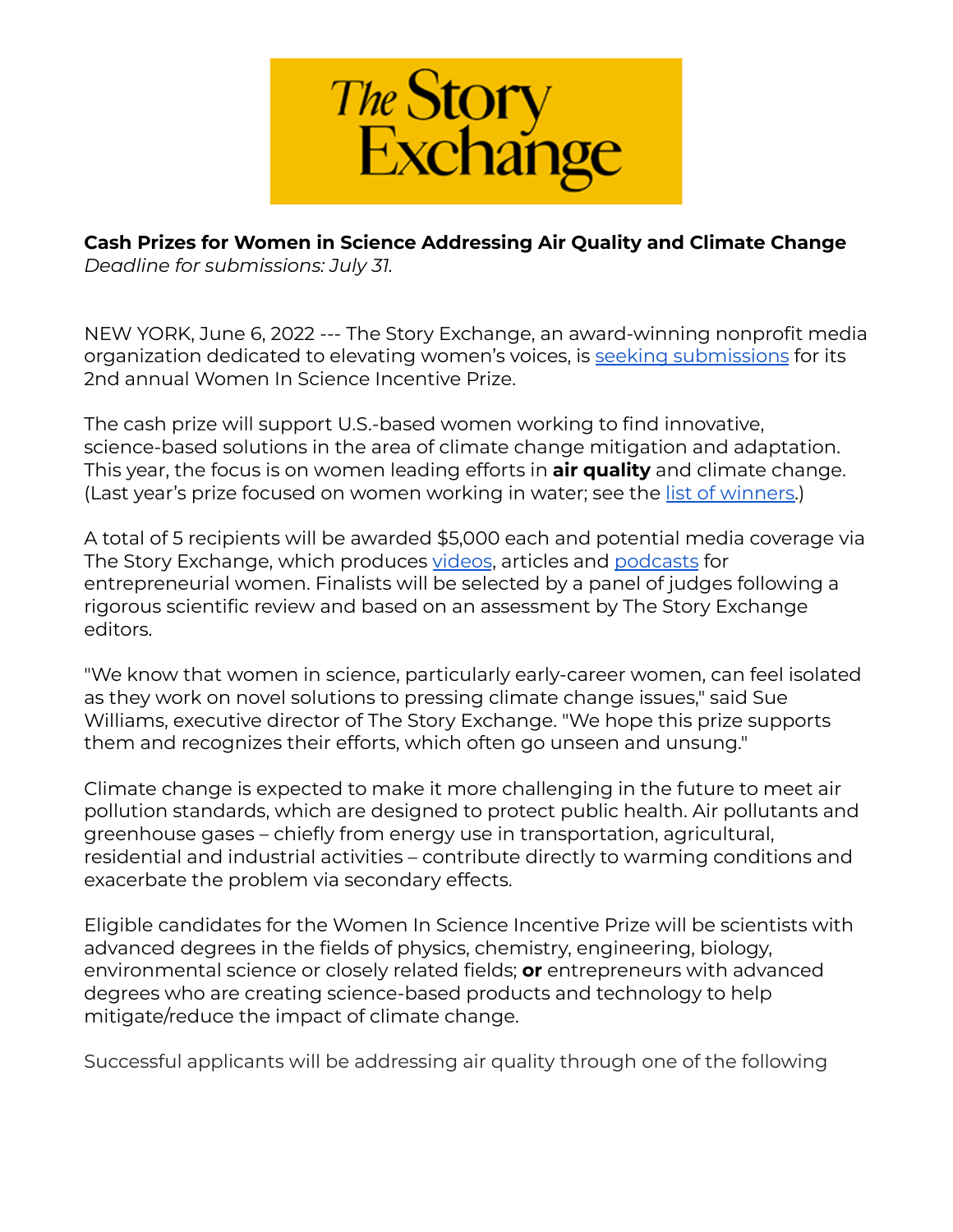

# **Cash Prizes for Women in Science Addressing Air Quality and Climate Change**

*Deadline for submissions: July 31.*

NEW YORK, June 6, 2022 --- The Story Exchange, an award-winning nonprofit media organization dedicated to elevating women's voices, is seeking [submissions](https://form.jotform.com/221284488790163) for its 2nd annual Women In Science Incentive Prize.

The cash prize will support U.S.-based women working to find innovative, science-based solutions in the area of climate change mitigation and adaptation. This year, the focus is on women leading efforts in **air quality** and climate change. (Last year's prize focused on women working in water; see the <u>list of [winners.](https://thestoryexchange.org/announcing-winners-women-in-science-incentive-prize/)</u>)

A total of 5 recipients will be awarded \$5,000 each and potential media coverage via The Story Exchange, which produces [videos](https://thestoryexchange.org/category/entrepreneur-videos/), articles and [podcasts](https://thestoryexchange.org/podcast/) for entrepreneurial women. Finalists will be selected by a panel of judges following a rigorous scientific review and based on an assessment by The Story Exchange editors.

"We know that women in science, particularly early-career women, can feel isolated as they work on novel solutions to pressing climate change issues," said Sue Williams, executive director of The Story Exchange. "We hope this prize supports them and recognizes their efforts, which often go unseen and unsung."

Climate change is expected to make it more challenging in the future to meet air pollution standards, which are designed to protect public health. Air pollutants and greenhouse gases – chiefly from energy use in transportation, agricultural, residential and industrial activities – contribute directly to warming conditions and exacerbate the problem via secondary effects.

Eligible candidates for the Women In Science Incentive Prize will be scientists with advanced degrees in the fields of physics, chemistry, engineering, biology, environmental science or closely related fields; **or** entrepreneurs with advanced degrees who are creating science-based products and technology to help mitigate/reduce the impact of climate change.

Successful applicants will be addressing air quality through one of the following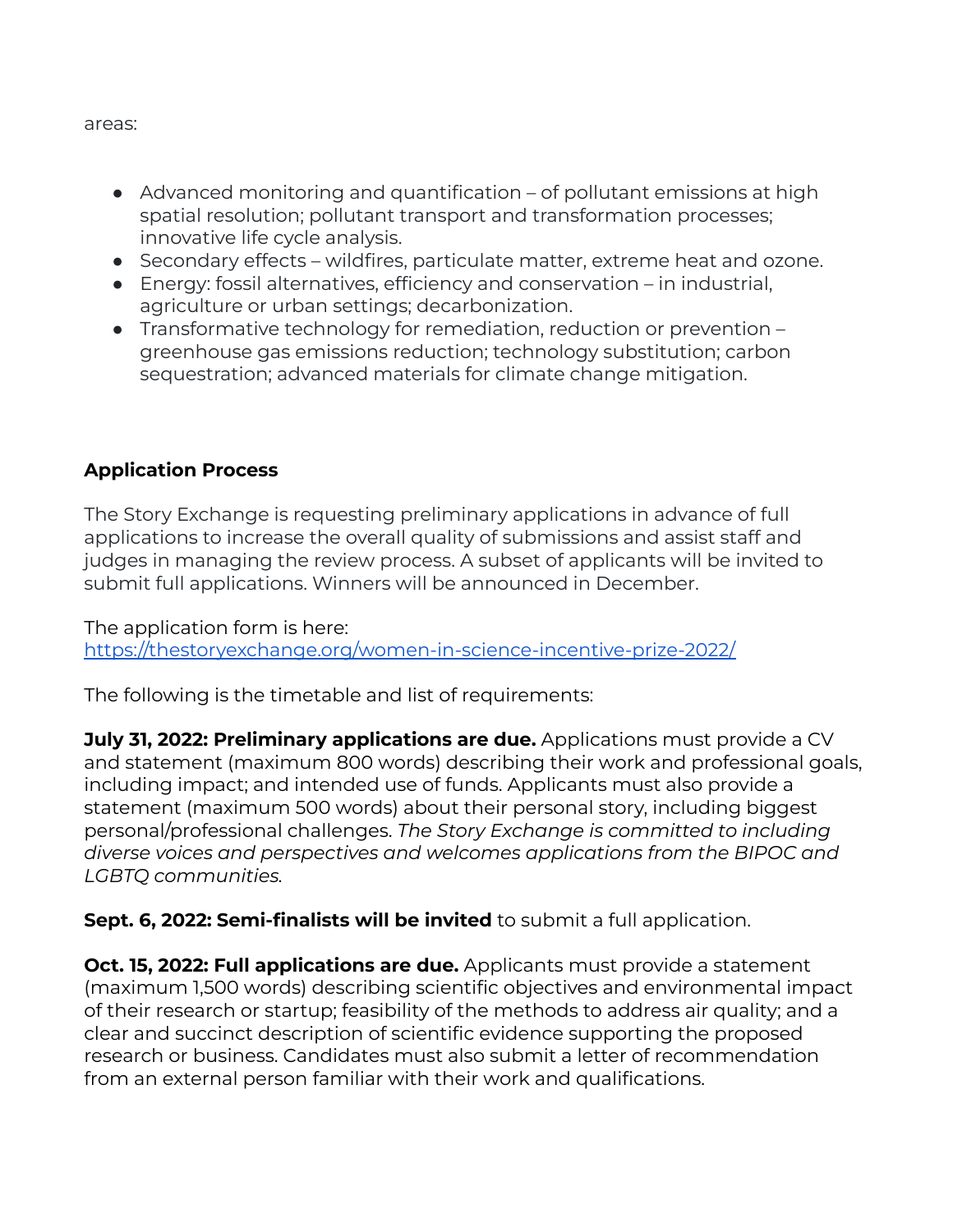areas:

- Advanced monitoring and quantification of pollutant emissions at high spatial resolution; pollutant transport and transformation processes; innovative life cycle analysis.
- Secondary effects wildfires, particulate matter, extreme heat and ozone.
- Energy: fossil alternatives, efficiency and conservation in industrial, agriculture or urban settings; decarbonization.
- Transformative technology for remediation, reduction or prevention greenhouse gas emissions reduction; technology substitution; carbon sequestration; advanced materials for climate change mitigation.

## **Application Process**

The Story Exchange is requesting preliminary applications in advance of full applications to increase the overall quality of submissions and assist staff and judges in managing the review process. A subset of applicants will be invited to submit full applications. Winners will be announced in December.

The application form is here: <https://thestoryexchange.org/women-in-science-incentive-prize-2022/>

The following is the timetable and list of requirements:

**July 31, 2022: Preliminary applications are due.** Applications must provide a CV and statement (maximum 800 words) describing their work and professional goals, including impact; and intended use of funds. Applicants must also provide a statement (maximum 500 words) about their personal story, including biggest personal/professional challenges. *The Story Exchange is committed to including diverse voices and [perspectives](https://www.uvm.edu/node/258455) and welcomes applications from the BIPOC and LGBTQ communities.*

**Sept. 6, 2022: Semi-finalists will be invited** to submit a full application.

**Oct. 15, 2022: Full applications are due.** Applicants must provide a statement (maximum 1,500 words) describing scientific objectives and environmental impact of their research or startup; feasibility of the methods to address air quality; and a clear and succinct description of scientific evidence supporting the proposed research or business. Candidates must also submit a letter of recommendation from an external person familiar with their work and qualifications.